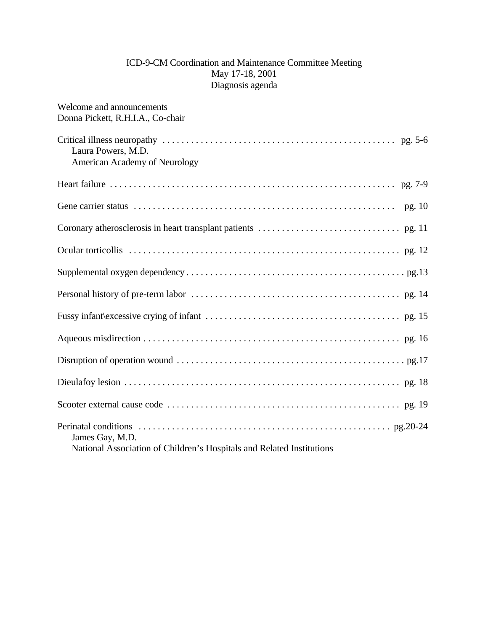## ICD-9-CM Coordination and Maintenance Committee Meeting May 17-18, 2001 Diagnosis agenda

| Welcome and announcements<br>Donna Pickett, R.H.I.A., Co-chair        |
|-----------------------------------------------------------------------|
|                                                                       |
| Laura Powers, M.D.                                                    |
| American Academy of Neurology                                         |
|                                                                       |
| pg. 10                                                                |
|                                                                       |
|                                                                       |
|                                                                       |
|                                                                       |
|                                                                       |
|                                                                       |
|                                                                       |
|                                                                       |
|                                                                       |
| James Gay, M.D.                                                       |
| National Association of Children's Hospitals and Related Institutions |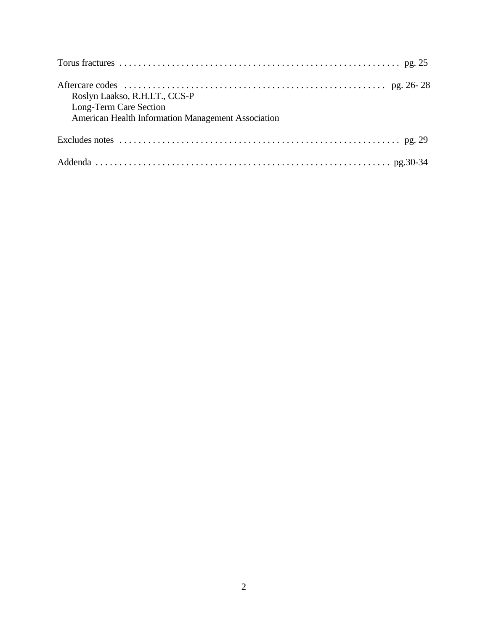| Roslyn Laakso, R.H.I.T., CCS-P<br>Long-Term Care Section<br>American Health Information Management Association                |
|-------------------------------------------------------------------------------------------------------------------------------|
| Excludes notes $\dots \dots \dots \dots \dots \dots \dots \dots \dots \dots \dots \dots \dots \dots \dots \dots \dots$ pg. 29 |
|                                                                                                                               |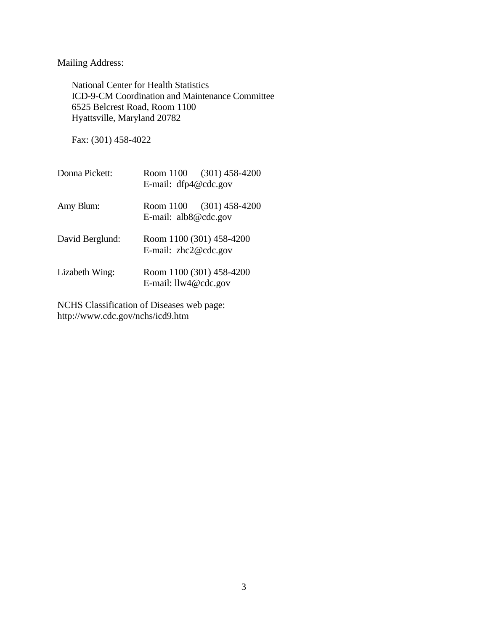Mailing Address:

National Center for Health Statistics ICD-9-CM Coordination and Maintenance Committee 6525 Belcrest Road, Room 1100 Hyattsville, Maryland 20782

Fax: (301) 458-4022

| Donna Pickett:  | Room 1100 (301) 458-4200<br>E-mail: dfp4@cdc.gov   |  |
|-----------------|----------------------------------------------------|--|
| Amy Blum:       | Room 1100 (301) 458-4200<br>E-mail: $alb8@cdc.gov$ |  |
| David Berglund: | Room 1100 (301) 458-4200<br>E-mail: $zhc2@cdc.gov$ |  |
| Lizabeth Wing:  | Room 1100 (301) 458-4200<br>E-mail: llw4@cdc.gov   |  |

NCHS Classification of Diseases web page: http://www.cdc.gov/nchs/icd9.htm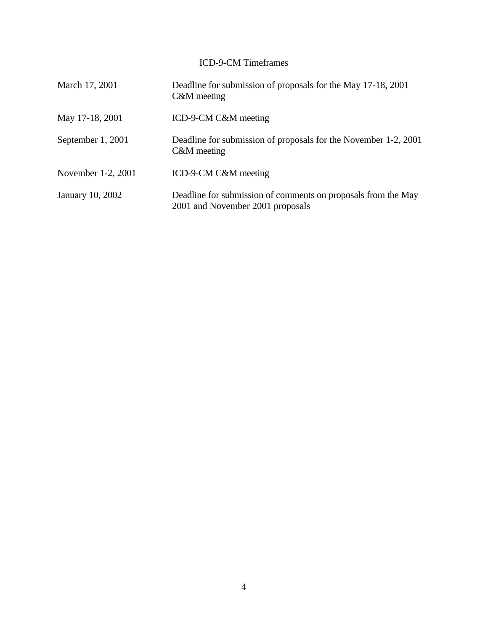# ICD-9-CM Timeframes

| March 17, 2001     | Deadline for submission of proposals for the May 17-18, 2001<br>C&M meeting                       |
|--------------------|---------------------------------------------------------------------------------------------------|
| May 17-18, 2001    | ICD-9-CM C&M meeting                                                                              |
| September 1, 2001  | Deadline for submission of proposals for the November 1-2, 2001<br>C&M meeting                    |
| November 1-2, 2001 | ICD-9-CM C&M meeting                                                                              |
| January 10, 2002   | Deadline for submission of comments on proposals from the May<br>2001 and November 2001 proposals |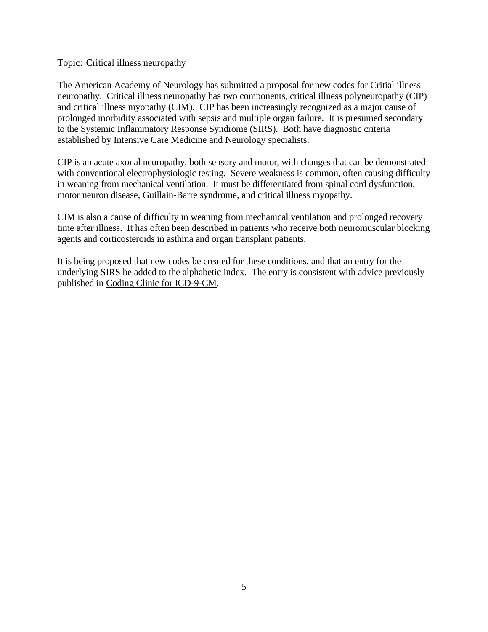Topic: Critical illness neuropathy

The American Academy of Neurology has submitted a proposal for new codes for Critial illness neuropathy. Critical illness neuropathy has two components, critical illness polyneuropathy (CIP) and critical illness myopathy (CIM). CIP has been increasingly recognized as a major cause of prolonged morbidity associated with sepsis and multiple organ failure. It is presumed secondary to the Systemic Inflammatory Response Syndrome (SIRS). Both have diagnostic criteria established by Intensive Care Medicine and Neurology specialists.

CIP is an acute axonal neuropathy, both sensory and motor, with changes that can be demonstrated with conventional electrophysiologic testing. Severe weakness is common, often causing difficulty in weaning from mechanical ventilation. It must be differentiated from spinal cord dysfunction, motor neuron disease, Guillain-Barre syndrome, and critical illness myopathy.

CIM is also a cause of difficulty in weaning from mechanical ventilation and prolonged recovery time after illness. It has often been described in patients who receive both neuromuscular blocking agents and corticosteroids in asthma and organ transplant patients.

It is being proposed that new codes be created for these conditions, and that an entry for the underlying SIRS be added to the alphabetic index. The entry is consistent with advice previously published in Coding Clinic for ICD-9-CM.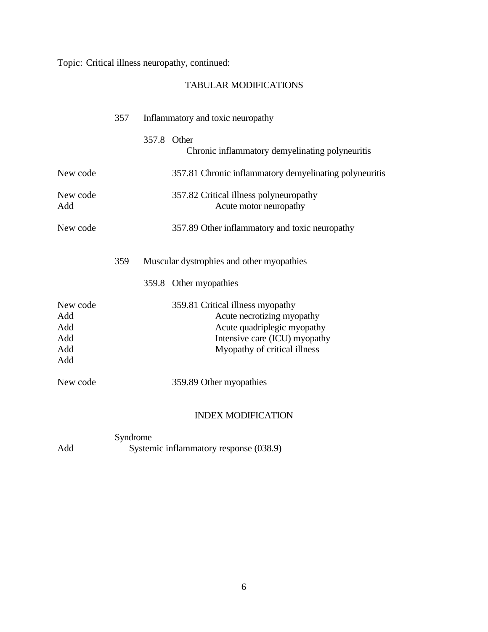Topic: Critical illness neuropathy, continued:

# TABULAR MODIFICATIONS

|                                             | 357                        | Inflammatory and toxic neuropathy                                                                                                                              |
|---------------------------------------------|----------------------------|----------------------------------------------------------------------------------------------------------------------------------------------------------------|
|                                             |                            | 357.8 Other<br>Chronic inflammatory demyelinating polyneuritis                                                                                                 |
| New code                                    |                            | 357.81 Chronic inflammatory demyelinating polyneuritis                                                                                                         |
| New code<br>Add                             |                            | 357.82 Critical illness polyneuropathy<br>Acute motor neuropathy                                                                                               |
| New code                                    |                            | 357.89 Other inflammatory and toxic neuropathy                                                                                                                 |
|                                             | 359                        | Muscular dystrophies and other myopathies                                                                                                                      |
|                                             |                            | 359.8 Other myopathies                                                                                                                                         |
| New code<br>Add<br>Add<br>Add<br>Add<br>Add |                            | 359.81 Critical illness myopathy<br>Acute necrotizing myopathy<br>Acute quadriplegic myopathy<br>Intensive care (ICU) myopathy<br>Myopathy of critical illness |
| New code                                    |                            | 359.89 Other myopathies                                                                                                                                        |
|                                             |                            | <b>INDEX MODIFICATION</b>                                                                                                                                      |
|                                             | $C$ <sub>rm</sub> $d$ romo |                                                                                                                                                                |

Syndrome Add Systemic inflammatory response (038.9)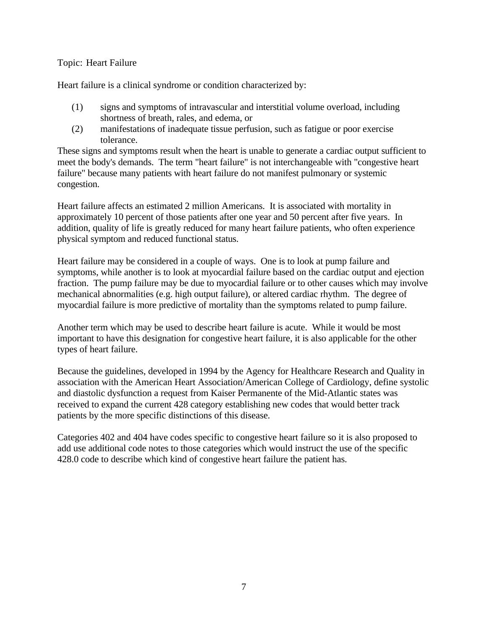#### Topic: Heart Failure

Heart failure is a clinical syndrome or condition characterized by:

- (1) signs and symptoms of intravascular and interstitial volume overload, including shortness of breath, rales, and edema, or
- (2) manifestations of inadequate tissue perfusion, such as fatigue or poor exercise tolerance.

These signs and symptoms result when the heart is unable to generate a cardiac output sufficient to meet the body's demands. The term "heart failure" is not interchangeable with "congestive heart failure" because many patients with heart failure do not manifest pulmonary or systemic congestion.

Heart failure affects an estimated 2 million Americans. It is associated with mortality in approximately 10 percent of those patients after one year and 50 percent after five years. In addition, quality of life is greatly reduced for many heart failure patients, who often experience physical symptom and reduced functional status.

Heart failure may be considered in a couple of ways. One is to look at pump failure and symptoms, while another is to look at myocardial failure based on the cardiac output and ejection fraction. The pump failure may be due to myocardial failure or to other causes which may involve mechanical abnormalities (e.g. high output failure), or altered cardiac rhythm. The degree of myocardial failure is more predictive of mortality than the symptoms related to pump failure.

Another term which may be used to describe heart failure is acute. While it would be most important to have this designation for congestive heart failure, it is also applicable for the other types of heart failure.

Because the guidelines, developed in 1994 by the Agency for Healthcare Research and Quality in association with the American Heart Association/American College of Cardiology, define systolic and diastolic dysfunction a request from Kaiser Permanente of the Mid-Atlantic states was received to expand the current 428 category establishing new codes that would better track patients by the more specific distinctions of this disease.

Categories 402 and 404 have codes specific to congestive heart failure so it is also proposed to add use additional code notes to those categories which would instruct the use of the specific 428.0 code to describe which kind of congestive heart failure the patient has.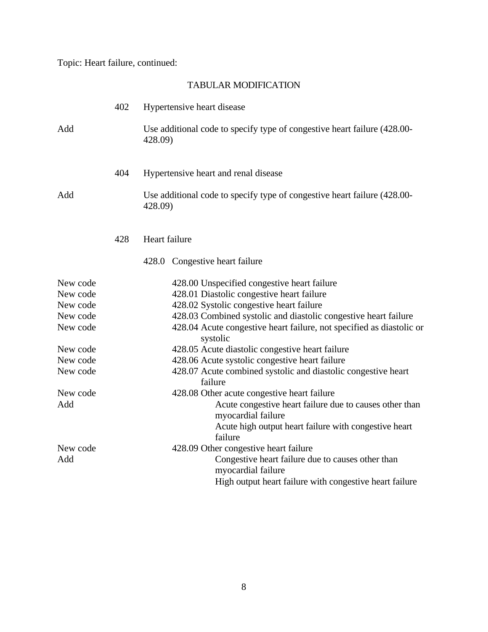Topic: Heart failure, continued:

# TABULAR MODIFICATION

|                                                                                                                 | 402 | Hypertensive heart disease                                                                                                                                                                                                                                                                                                                                                                                                                                                                                                                                                                                                                                            |
|-----------------------------------------------------------------------------------------------------------------|-----|-----------------------------------------------------------------------------------------------------------------------------------------------------------------------------------------------------------------------------------------------------------------------------------------------------------------------------------------------------------------------------------------------------------------------------------------------------------------------------------------------------------------------------------------------------------------------------------------------------------------------------------------------------------------------|
| Add                                                                                                             |     | Use additional code to specify type of congestive heart failure (428.00-<br>428.09)                                                                                                                                                                                                                                                                                                                                                                                                                                                                                                                                                                                   |
|                                                                                                                 | 404 | Hypertensive heart and renal disease                                                                                                                                                                                                                                                                                                                                                                                                                                                                                                                                                                                                                                  |
| Add                                                                                                             |     | Use additional code to specify type of congestive heart failure (428.00-<br>428.09)                                                                                                                                                                                                                                                                                                                                                                                                                                                                                                                                                                                   |
|                                                                                                                 | 428 | Heart failure                                                                                                                                                                                                                                                                                                                                                                                                                                                                                                                                                                                                                                                         |
|                                                                                                                 |     | 428.0 Congestive heart failure                                                                                                                                                                                                                                                                                                                                                                                                                                                                                                                                                                                                                                        |
| New code<br>New code<br>New code<br>New code<br>New code<br>New code<br>New code<br>New code<br>New code<br>Add |     | 428.00 Unspecified congestive heart failure<br>428.01 Diastolic congestive heart failure<br>428.02 Systolic congestive heart failure<br>428.03 Combined systolic and diastolic congestive heart failure<br>428.04 Acute congestive heart failure, not specified as diastolic or<br>systolic<br>428.05 Acute diastolic congestive heart failure<br>428.06 Acute systolic congestive heart failure<br>428.07 Acute combined systolic and diastolic congestive heart<br>failure<br>428.08 Other acute congestive heart failure<br>Acute congestive heart failure due to causes other than<br>myocardial failure<br>Acute high output heart failure with congestive heart |
| New code<br>Add                                                                                                 |     | failure<br>428.09 Other congestive heart failure<br>Congestive heart failure due to causes other than<br>myocardial failure<br>High output heart failure with congestive heart failure                                                                                                                                                                                                                                                                                                                                                                                                                                                                                |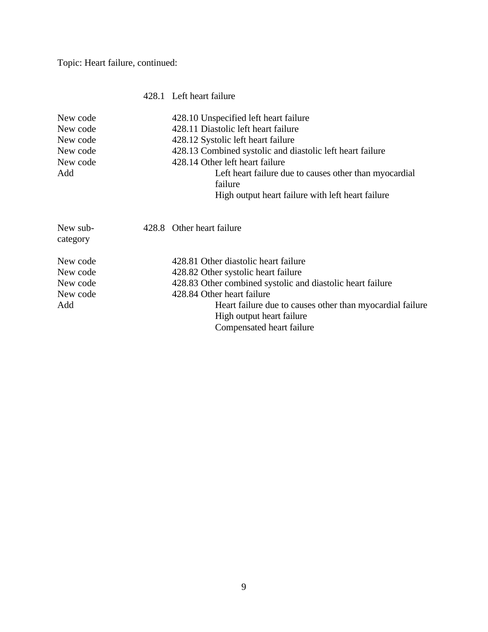Topic: Heart failure, continued:

## 428.1 Left heart failure

| 428.11 Diastolic left heart failure<br>428.12 Systolic left heart failure<br>428.13 Combined systolic and diastolic left heart failure<br>428.14 Other left heart failure<br>Left heart failure due to causes other than myocardial<br>failure |
|------------------------------------------------------------------------------------------------------------------------------------------------------------------------------------------------------------------------------------------------|
|                                                                                                                                                                                                                                                |
|                                                                                                                                                                                                                                                |
|                                                                                                                                                                                                                                                |
|                                                                                                                                                                                                                                                |
|                                                                                                                                                                                                                                                |
| High output heart failure with left heart failure                                                                                                                                                                                              |
| 428.8 Other heart failure                                                                                                                                                                                                                      |
| 428.81 Other diastolic heart failure                                                                                                                                                                                                           |
| 428.82 Other systolic heart failure                                                                                                                                                                                                            |
| 428.83 Other combined systolic and diastolic heart failure                                                                                                                                                                                     |
| 428.84 Other heart failure                                                                                                                                                                                                                     |
| Heart failure due to causes other than myocardial failure<br>High output heart failure<br>Compensated heart failure                                                                                                                            |
|                                                                                                                                                                                                                                                |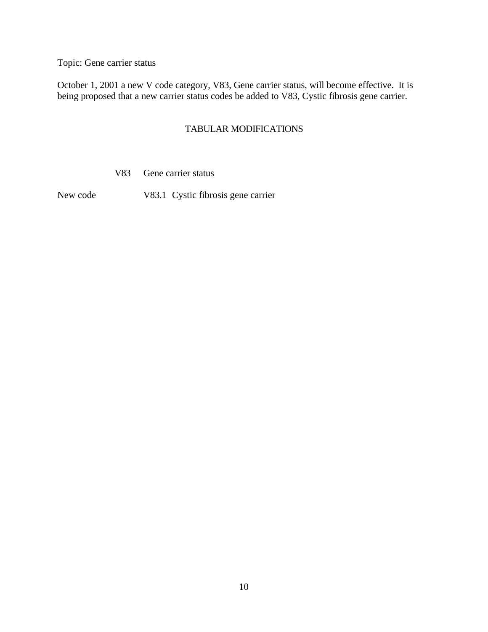Topic: Gene carrier status

October 1, 2001 a new V code category, V83, Gene carrier status, will become effective. It is being proposed that a new carrier status codes be added to V83, Cystic fibrosis gene carrier.

### TABULAR MODIFICATIONS

V83 Gene carrier status

New code V83.1 Cystic fibrosis gene carrier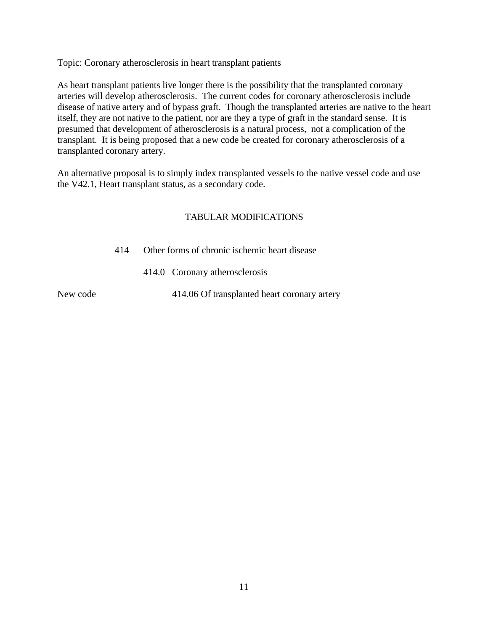Topic: Coronary atherosclerosis in heart transplant patients

As heart transplant patients live longer there is the possibility that the transplanted coronary arteries will develop atherosclerosis. The current codes for coronary atherosclerosis include disease of native artery and of bypass graft. Though the transplanted arteries are native to the heart itself, they are not native to the patient, nor are they a type of graft in the standard sense. It is presumed that development of atherosclerosis is a natural process, not a complication of the transplant. It is being proposed that a new code be created for coronary atherosclerosis of a transplanted coronary artery.

An alternative proposal is to simply index transplanted vessels to the native vessel code and use the V42.1, Heart transplant status, as a secondary code.

## TABULAR MODIFICATIONS

- 414 Other forms of chronic ischemic heart disease
	- 414.0 Coronary atherosclerosis

New code 414.06 Of transplanted heart coronary artery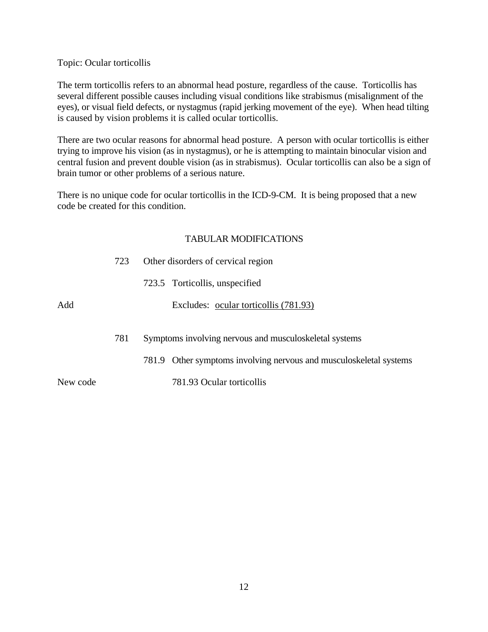#### Topic: Ocular torticollis

The term torticollis refers to an abnormal head posture, regardless of the cause. Torticollis has several different possible causes including visual conditions like strabismus (misalignment of the eyes), or visual field defects, or nystagmus (rapid jerking movement of the eye). When head tilting is caused by vision problems it is called ocular torticollis.

There are two ocular reasons for abnormal head posture. A person with ocular torticollis is either trying to improve his vision (as in nystagmus), or he is attempting to maintain binocular vision and central fusion and prevent double vision (as in strabismus). Ocular torticollis can also be a sign of brain tumor or other problems of a serious nature.

There is no unique code for ocular torticollis in the ICD-9-CM. It is being proposed that a new code be created for this condition.

#### TABULAR MODIFICATIONS

|          | 723 | Other disorders of cervical region                                 |  |  |
|----------|-----|--------------------------------------------------------------------|--|--|
|          |     | 723.5 Torticollis, unspecified                                     |  |  |
| Add      |     | Excludes: ocular torticollis (781.93)                              |  |  |
|          | 781 | Symptoms involving nervous and musculoskeletal systems             |  |  |
|          |     | 781.9 Other symptoms involving nervous and musculoskeletal systems |  |  |
| New code |     | 781.93 Ocular torticollis                                          |  |  |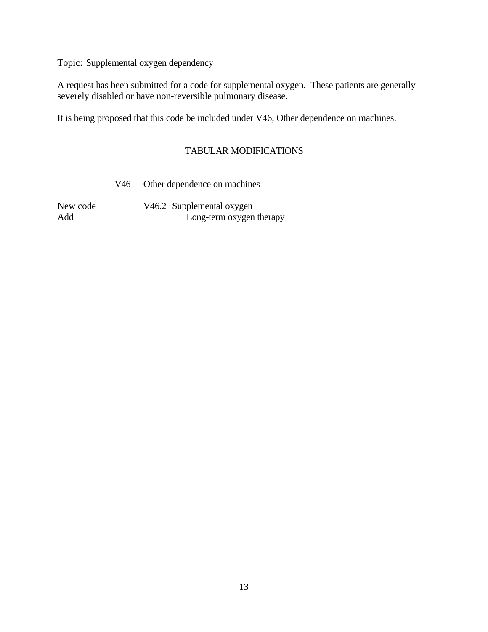Topic: Supplemental oxygen dependency

A request has been submitted for a code for supplemental oxygen. These patients are generally severely disabled or have non-reversible pulmonary disease.

It is being proposed that this code be included under V46, Other dependence on machines.

## TABULAR MODIFICATIONS

V46 Other dependence on machines

New code V46.2 Supplemental oxygen Add Long-term oxygen therapy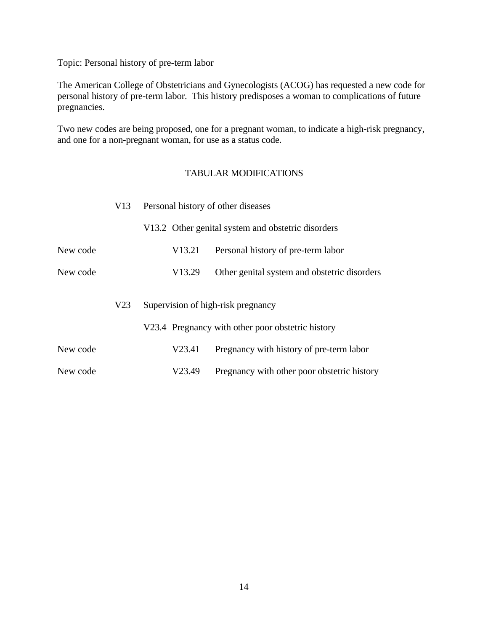Topic: Personal history of pre-term labor

The American College of Obstetricians and Gynecologists (ACOG) has requested a new code for personal history of pre-term labor. This history predisposes a woman to complications of future pregnancies.

Two new codes are being proposed, one for a pregnant woman, to indicate a high-risk pregnancy, and one for a non-pregnant woman, for use as a status code.

## TABULAR MODIFICATIONS

|          | V13             | Personal history of other diseases |                                                    |  |
|----------|-----------------|------------------------------------|----------------------------------------------------|--|
|          |                 |                                    | V13.2 Other genital system and obstetric disorders |  |
| New code |                 | V <sub>13.21</sub>                 | Personal history of pre-term labor                 |  |
| New code |                 | V <sub>13.29</sub>                 | Other genital system and obstetric disorders       |  |
|          | V <sub>23</sub> |                                    | Supervision of high-risk pregnancy                 |  |
|          |                 |                                    | V23.4 Pregnancy with other poor obstetric history  |  |
| New code |                 | V23.41                             | Pregnancy with history of pre-term labor           |  |
| New code |                 | V23.49                             | Pregnancy with other poor obstetric history        |  |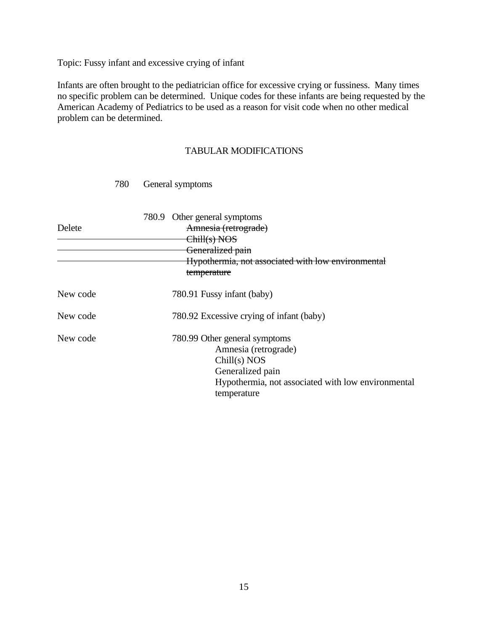Topic: Fussy infant and excessive crying of infant

Infants are often brought to the pediatrician office for excessive crying or fussiness. Many times no specific problem can be determined. Unique codes for these infants are being requested by the American Academy of Pediatrics to be used as a reason for visit code when no other medical problem can be determined.

#### TABULAR MODIFICATIONS

| Delete   | 780.9 Other general symptoms<br>Amnesia (retrograde)<br><del>Chill(s) NOS</del><br>Generalized pain<br>Hypothermia, not associated with low environmental<br>temperature |
|----------|--------------------------------------------------------------------------------------------------------------------------------------------------------------------------|
| New code | 780.91 Fussy infant (baby)                                                                                                                                               |
| New code | 780.92 Excessive crying of infant (baby)                                                                                                                                 |
| New code | 780.99 Other general symptoms<br>Amnesia (retrograde)<br>Chill(s) NOS<br>Generalized pain<br>Hypothermia, not associated with low environmental<br>temperature           |

#### 780 General symptoms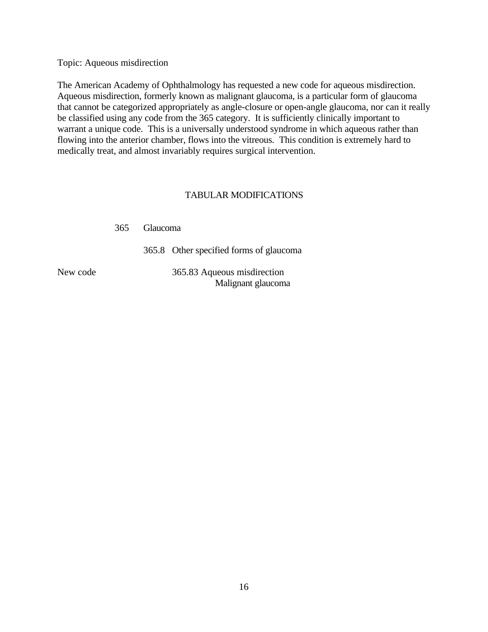Topic: Aqueous misdirection

The American Academy of Ophthalmology has requested a new code for aqueous misdirection. Aqueous misdirection, formerly known as malignant glaucoma, is a particular form of glaucoma that cannot be categorized appropriately as angle-closure or open-angle glaucoma, nor can it really be classified using any code from the 365 category. It is sufficiently clinically important to warrant a unique code. This is a universally understood syndrome in which aqueous rather than flowing into the anterior chamber, flows into the vitreous. This condition is extremely hard to medically treat, and almost invariably requires surgical intervention.

#### TABULAR MODIFICATIONS

|  | 365 Glaucoma                                      |  |  |  |  |
|--|---------------------------------------------------|--|--|--|--|
|  | 365.8 Other specified forms of glaucoma           |  |  |  |  |
|  | 365.83 Aqueous misdirection<br>Malignant glaucoma |  |  |  |  |

New code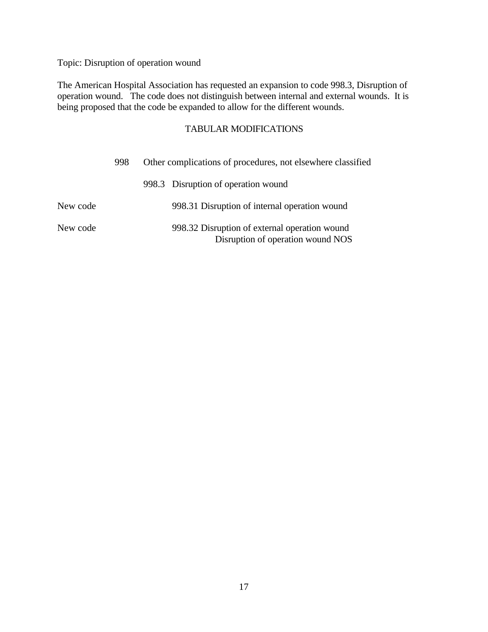Topic: Disruption of operation wound

The American Hospital Association has requested an expansion to code 998.3, Disruption of operation wound. The code does not distinguish between internal and external wounds. It is being proposed that the code be expanded to allow for the different wounds.

# TABULAR MODIFICATIONS

|          | 998 | Other complications of procedures, not elsewhere classified |                                                                                    |
|----------|-----|-------------------------------------------------------------|------------------------------------------------------------------------------------|
|          |     |                                                             | 998.3 Disruption of operation wound                                                |
| New code |     |                                                             | 998.31 Disruption of internal operation wound                                      |
| New code |     |                                                             | 998.32 Disruption of external operation wound<br>Disruption of operation wound NOS |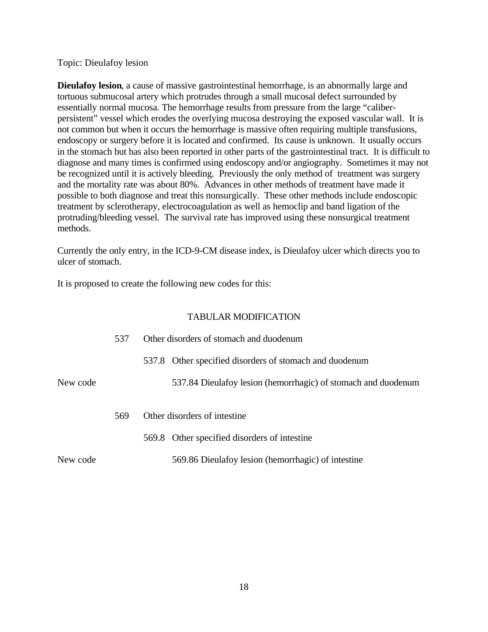#### Topic: Dieulafoy lesion

**Dieulafoy lesion**, a cause of massive gastrointestinal hemorrhage, is an abnormally large and tortuous submucosal artery which protrudes through a small mucosal defect surrounded by essentially normal mucosa. The hemorrhage results from pressure from the large "caliberpersistent" vessel which erodes the overlying mucosa destroying the exposed vascular wall. It is not common but when it occurs the hemorrhage is massive often requiring multiple transfusions, endoscopy or surgery before it is located and confirmed. Its cause is unknown. It usually occurs in the stomach but has also been reported in other parts of the gastrointestinal tract. It is difficult to diagnose and many times is confirmed using endoscopy and/or angiography. Sometimes it may not be recognized until it is actively bleeding. Previously the only method of treatment was surgery and the mortality rate was about 80%. Advances in other methods of treatment have made it possible to both diagnose and treat this nonsurgically. These other methods include endoscopic treatment by sclerotherapy, electrocoagulation as well as hemoclip and band ligation of the protruding/bleeding vessel. The survival rate has improved using these nonsurgical treatment methods.

Currently the only entry, in the ICD-9-CM disease index, is Dieulafoy ulcer which directs you to ulcer of stomach.

It is proposed to create the following new codes for this:

#### TABULAR MODIFICATION

|          | 537 | Other disorders of stomach and duodenum                       |
|----------|-----|---------------------------------------------------------------|
|          |     | 537.8 Other specified disorders of stomach and duodenum       |
| New code |     | 537.84 Dieulafoy lesion (hemorrhagic) of stomach and duodenum |
|          | 569 | Other disorders of intestine                                  |
|          |     | 569.8 Other specified disorders of intestine                  |
| New code |     | 569.86 Dieulafoy lesion (hemorrhagic) of intestine            |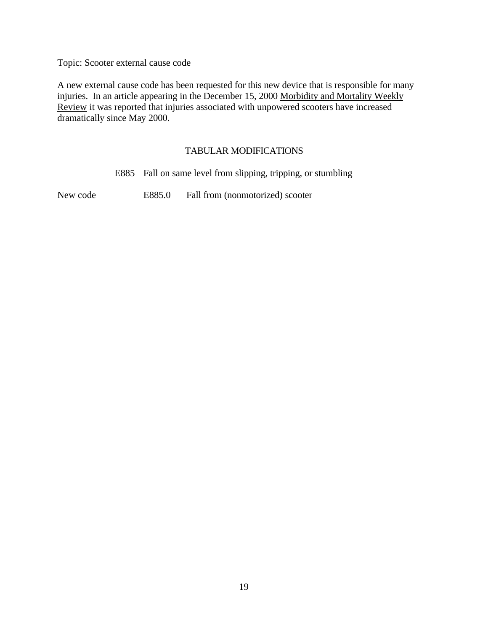Topic: Scooter external cause code

A new external cause code has been requested for this new device that is responsible for many injuries. In an article appearing in the December 15, 2000 Morbidity and Mortality Weekly Review it was reported that injuries associated with unpowered scooters have increased dramatically since May 2000.

#### TABULAR MODIFICATIONS

E885 Fall on same level from slipping, tripping, or stumbling

New code E885.0 Fall from (nonmotorized) scooter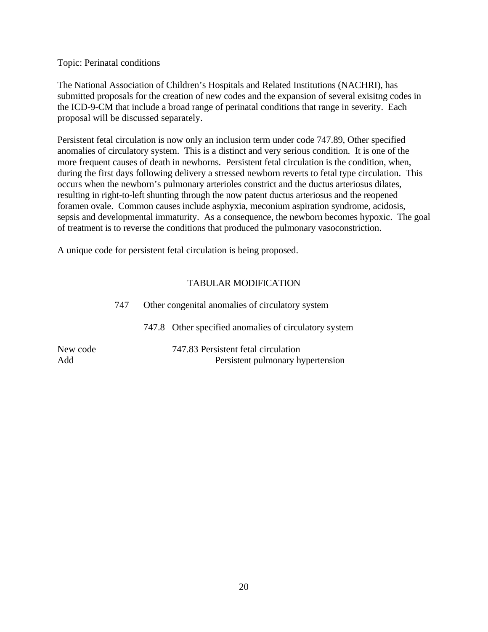Topic: Perinatal conditions

The National Association of Children's Hospitals and Related Institutions (NACHRI), has submitted proposals for the creation of new codes and the expansion of several exisitng codes in the ICD-9-CM that include a broad range of perinatal conditions that range in severity. Each proposal will be discussed separately.

Persistent fetal circulation is now only an inclusion term under code 747.89, Other specified anomalies of circulatory system. This is a distinct and very serious condition. It is one of the more frequent causes of death in newborns. Persistent fetal circulation is the condition, when, during the first days following delivery a stressed newborn reverts to fetal type circulation. This occurs when the newborn's pulmonary arterioles constrict and the ductus arteriosus dilates, resulting in right-to-left shunting through the now patent ductus arteriosus and the reopened foramen ovale. Common causes include asphyxia, meconium aspiration syndrome, acidosis, sepsis and developmental immaturity. As a consequence, the newborn becomes hypoxic. The goal of treatment is to reverse the conditions that produced the pulmonary vasoconstriction.

A unique code for persistent fetal circulation is being proposed.

## TABULAR MODIFICATION

|                 | 747 | Other congenital anomalies of circulatory system                         |
|-----------------|-----|--------------------------------------------------------------------------|
|                 |     | 747.8 Other specified anomalies of circulatory system                    |
| New code<br>Add |     | 747.83 Persistent fetal circulation<br>Persistent pulmonary hypertension |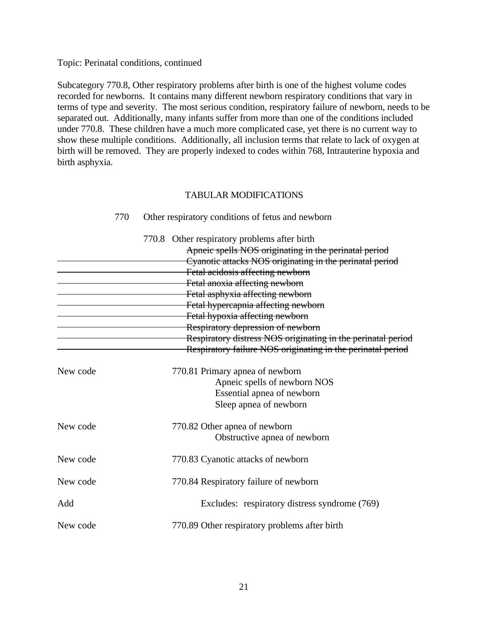Topic: Perinatal conditions, continued

Subcategory 770.8, Other respiratory problems after birth is one of the highest volume codes recorded for newborns. It contains many different newborn respiratory conditions that vary in terms of type and severity. The most serious condition, respiratory failure of newborn, needs to be separated out. Additionally, many infants suffer from more than one of the conditions included under 770.8. These children have a much more complicated case, yet there is no current way to show these multiple conditions. Additionally, all inclusion terms that relate to lack of oxygen at birth will be removed. They are properly indexed to codes within 768, Intrauterine hypoxia and birth asphyxia.

#### TABULAR MODIFICATIONS

|          | 770.8 Other respiratory problems after birth<br>Apneic spells NOS originating in the perinatal period |
|----------|-------------------------------------------------------------------------------------------------------|
|          | Cyanotic attacks NOS originating in the perinatal period                                              |
|          | Fetal acidosis affecting newborn                                                                      |
|          | Fetal anoxia affecting newborn                                                                        |
|          | Fetal asphyxia affecting newborn                                                                      |
|          | Fetal hypercapnia affecting newborn                                                                   |
|          | Fetal hypoxia affecting newborn                                                                       |
|          | Respiratory depression of newborn                                                                     |
|          | Respiratory distress NOS originating in the perinatal period                                          |
|          | Respiratory failure NOS originating in the perinatal period                                           |
| New code | 770.81 Primary apnea of newborn                                                                       |
|          | Apneic spells of newborn NOS                                                                          |
|          | Essential apnea of newborn                                                                            |
|          | Sleep apnea of newborn                                                                                |
| New code | 770.82 Other apnea of newborn                                                                         |
|          | Obstructive apnea of newborn                                                                          |
| New code | 770.83 Cyanotic attacks of newborn                                                                    |
| New code | 770.84 Respiratory failure of newborn                                                                 |
| Add      | Excludes: respiratory distress syndrome (769)                                                         |
| New code | 770.89 Other respiratory problems after birth                                                         |

770 Other respiratory conditions of fetus and newborn

21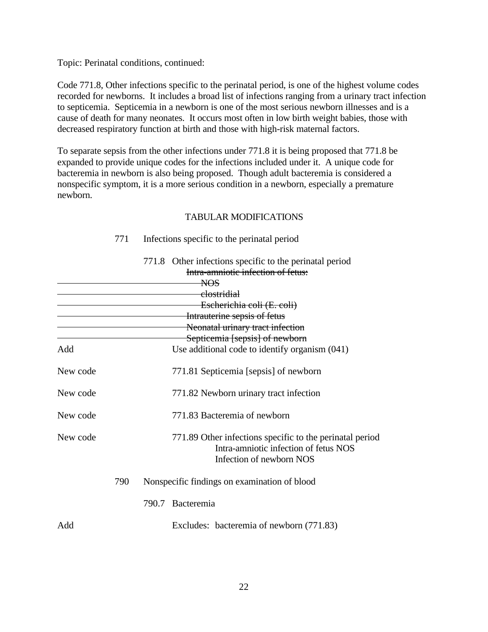Topic: Perinatal conditions, continued:

Code 771.8, Other infections specific to the perinatal period, is one of the highest volume codes recorded for newborns. It includes a broad list of infections ranging from a urinary tract infection to septicemia. Septicemia in a newborn is one of the most serious newborn illnesses and is a cause of death for many neonates. It occurs most often in low birth weight babies, those with decreased respiratory function at birth and those with high-risk maternal factors.

To separate sepsis from the other infections under 771.8 it is being proposed that 771.8 be expanded to provide unique codes for the infections included under it. A unique code for bacteremia in newborn is also being proposed. Though adult bacteremia is considered a nonspecific symptom, it is a more serious condition in a newborn, especially a premature newborn.

#### TABULAR MODIFICATIONS

#### 771 Infections specific to the perinatal period

|          |     | 771.8 Other infections specific to the perinatal period<br>Intra-amniotic infection of fetus:                                 |
|----------|-----|-------------------------------------------------------------------------------------------------------------------------------|
|          |     | <del>NOS</del>                                                                                                                |
|          |     | <del>clostridial</del>                                                                                                        |
|          |     | Escherichia coli (E. coli)                                                                                                    |
|          |     | Intrauterine sepsis of fetus                                                                                                  |
|          |     | Neonatal urinary tract infection                                                                                              |
|          |     | Septicemia [sepsis] of newborn                                                                                                |
| Add      |     | Use additional code to identify organism (041)                                                                                |
| New code |     | 771.81 Septicemia [sepsis] of newborn                                                                                         |
| New code |     | 771.82 Newborn urinary tract infection                                                                                        |
| New code |     | 771.83 Bacteremia of newborn                                                                                                  |
| New code |     | 771.89 Other infections specific to the perinatal period<br>Intra-amniotic infection of fetus NOS<br>Infection of newborn NOS |
|          | 790 | Nonspecific findings on examination of blood                                                                                  |
|          |     | 790.7 Bacteremia                                                                                                              |
| Add      |     | Excludes: bacteremia of newborn (771.83)                                                                                      |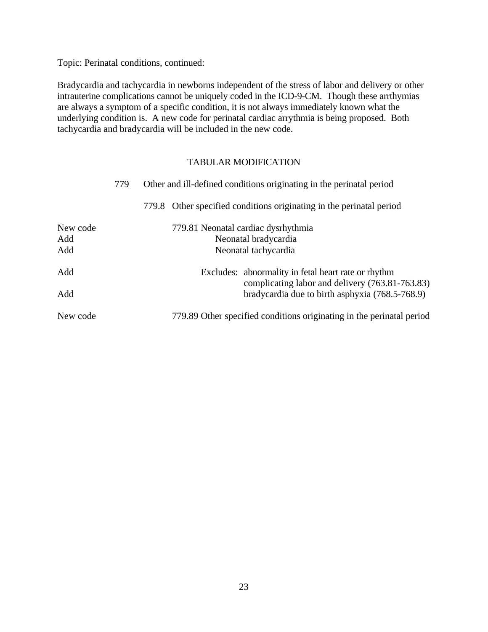Topic: Perinatal conditions, continued:

Bradycardia and tachycardia in newborns independent of the stress of labor and delivery or other intrauterine complications cannot be uniquely coded in the ICD-9-CM. Though these arrthymias are always a symptom of a specific condition, it is not always immediately known what the underlying condition is. A new code for perinatal cardiac arrythmia is being proposed. Both tachycardia and bradycardia will be included in the new code.

## TABULAR MODIFICATION

|            | 779 | Other and ill-defined conditions originating in the perinatal period                               |  |  |  |  |
|------------|-----|----------------------------------------------------------------------------------------------------|--|--|--|--|
|            |     | 779.8 Other specified conditions originating in the perinatal period                               |  |  |  |  |
| New code   |     | 779.81 Neonatal cardiac dysrhythmia                                                                |  |  |  |  |
| Add<br>Add |     | Neonatal bradycardia<br>Neonatal tachycardia                                                       |  |  |  |  |
| Add        |     | Excludes: abnormality in fetal heart rate or rhythm                                                |  |  |  |  |
| Add        |     | complicating labor and delivery (763.81-763.83)<br>bradycardia due to birth asphyxia (768.5-768.9) |  |  |  |  |
| New code   |     | 779.89 Other specified conditions originating in the perinatal period                              |  |  |  |  |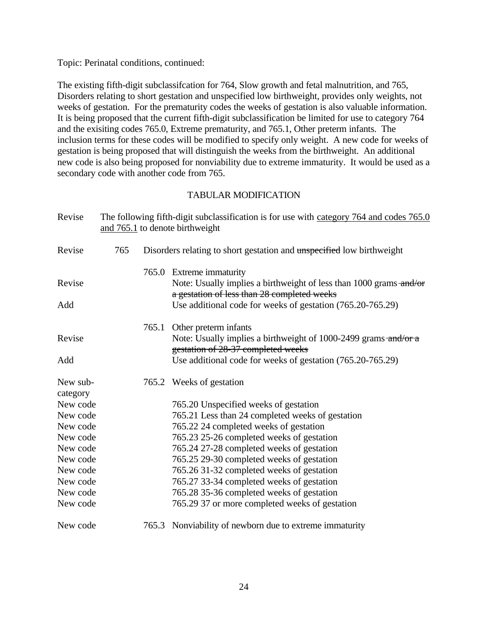Topic: Perinatal conditions, continued:

The existing fifth-digit subclassifcation for 764, Slow growth and fetal malnutrition, and 765, Disorders relating to short gestation and unspecified low birthweight, provides only weights, not weeks of gestation. For the prematurity codes the weeks of gestation is also valuable information. It is being proposed that the current fifth-digit subclassification be limited for use to category 764 and the exisiting codes 765.0, Extreme prematurity, and 765.1, Other preterm infants. The inclusion terms for these codes will be modified to specify only weight. A new code for weeks of gestation is being proposed that will distinguish the weeks from the birthweight. An additional new code is also being proposed for nonviability due to extreme immaturity. It would be used as a secondary code with another code from 765.

#### TABULAR MODIFICATION

| Revise   |     |       | The following fifth-digit subclassification is for use with category 764 and codes 765.0<br>and 765.1 to denote birthweight |
|----------|-----|-------|-----------------------------------------------------------------------------------------------------------------------------|
| Revise   | 765 |       | Disorders relating to short gestation and unspecified low birthweight                                                       |
|          |     |       | 765.0 Extreme immaturity                                                                                                    |
| Revise   |     |       | Note: Usually implies a birthweight of less than 1000 grams and/or<br>a gestation of less than 28 completed weeks           |
| Add      |     |       | Use additional code for weeks of gestation (765.20-765.29)                                                                  |
|          |     | 765.1 | Other preterm infants                                                                                                       |
| Revise   |     |       | Note: Usually implies a birthweight of 1000-2499 grams-and/or a<br>gestation of 28-37 completed weeks                       |
| Add      |     |       | Use additional code for weeks of gestation (765.20-765.29)                                                                  |
| New sub- |     |       | 765.2 Weeks of gestation                                                                                                    |
| category |     |       |                                                                                                                             |
| New code |     |       | 765.20 Unspecified weeks of gestation                                                                                       |
| New code |     |       | 765.21 Less than 24 completed weeks of gestation                                                                            |
| New code |     |       | 765.22 24 completed weeks of gestation                                                                                      |
| New code |     |       | 765.23 25-26 completed weeks of gestation                                                                                   |
| New code |     |       | 765.24 27-28 completed weeks of gestation                                                                                   |
| New code |     |       | 765.25 29-30 completed weeks of gestation                                                                                   |
| New code |     |       | 765.26 31-32 completed weeks of gestation                                                                                   |
| New code |     |       | 765.27 33-34 completed weeks of gestation                                                                                   |
| New code |     |       | 765.28 35-36 completed weeks of gestation                                                                                   |
| New code |     |       | 765.29 37 or more completed weeks of gestation                                                                              |
| New code |     |       | 765.3 Nonviability of newborn due to extreme immaturity                                                                     |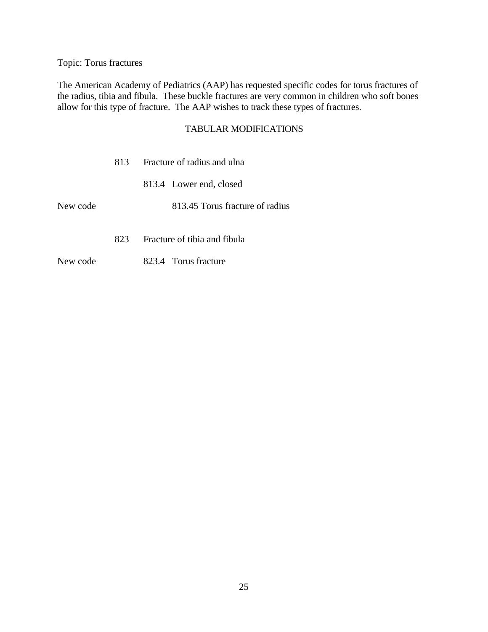Topic: Torus fractures

The American Academy of Pediatrics (AAP) has requested specific codes for torus fractures of the radius, tibia and fibula. These buckle fractures are very common in children who soft bones allow for this type of fracture. The AAP wishes to track these types of fractures.

## TABULAR MODIFICATIONS

|          | 813. | Fracture of radius and ulna     |  |  |
|----------|------|---------------------------------|--|--|
|          |      | 813.4 Lower end, closed         |  |  |
| New code |      | 813.45 Torus fracture of radius |  |  |
|          | 823. | Fracture of tibia and fibula    |  |  |

New code 823.4 Torus fracture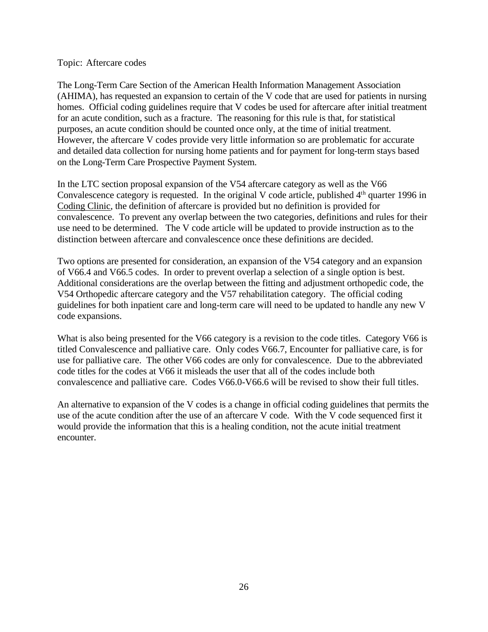#### Topic: Aftercare codes

The Long-Term Care Section of the American Health Information Management Association (AHIMA), has requested an expansion to certain of the V code that are used for patients in nursing homes. Official coding guidelines require that V codes be used for aftercare after initial treatment for an acute condition, such as a fracture. The reasoning for this rule is that, for statistical purposes, an acute condition should be counted once only, at the time of initial treatment. However, the aftercare V codes provide very little information so are problematic for accurate and detailed data collection for nursing home patients and for payment for long-term stays based on the Long-Term Care Prospective Payment System.

In the LTC section proposal expansion of the V54 aftercare category as well as the V66 Convalescence category is requested. In the original V code article, published 4<sup>th</sup> quarter 1996 in Coding Clinic, the definition of aftercare is provided but no definition is provided for convalescence. To prevent any overlap between the two categories, definitions and rules for their use need to be determined. The V code article will be updated to provide instruction as to the distinction between aftercare and convalescence once these definitions are decided.

Two options are presented for consideration, an expansion of the V54 category and an expansion of V66.4 and V66.5 codes. In order to prevent overlap a selection of a single option is best. Additional considerations are the overlap between the fitting and adjustment orthopedic code, the V54 Orthopedic aftercare category and the V57 rehabilitation category. The official coding guidelines for both inpatient care and long-term care will need to be updated to handle any new V code expansions.

What is also being presented for the V66 category is a revision to the code titles. Category V66 is titled Convalescence and palliative care. Only codes V66.7, Encounter for palliative care, is for use for palliative care. The other V66 codes are only for convalescence. Due to the abbreviated code titles for the codes at V66 it misleads the user that all of the codes include both convalescence and palliative care. Codes V66.0-V66.6 will be revised to show their full titles.

An alternative to expansion of the V codes is a change in official coding guidelines that permits the use of the acute condition after the use of an aftercare V code. With the V code sequenced first it would provide the information that this is a healing condition, not the acute initial treatment encounter.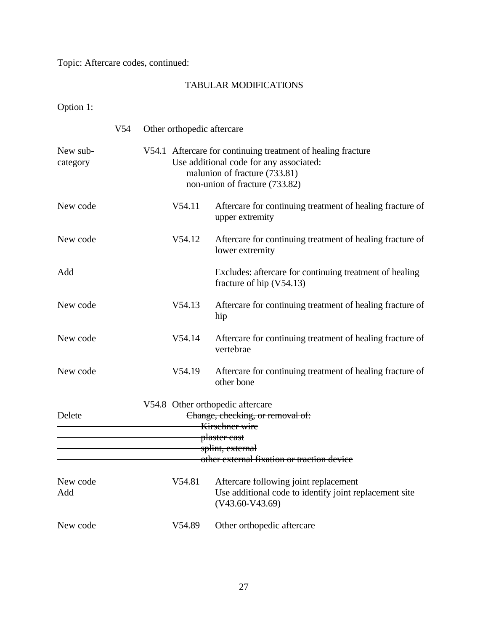Topic: Aftercare codes, continued:

# TABULAR MODIFICATIONS

Option 1:

|                      | V54 | Other orthopedic aftercare |                                                                                                                                                                            |
|----------------------|-----|----------------------------|----------------------------------------------------------------------------------------------------------------------------------------------------------------------------|
| New sub-<br>category |     |                            | V54.1 Aftercare for continuing treatment of healing fracture<br>Use additional code for any associated:<br>malunion of fracture (733.81)<br>non-union of fracture (733.82) |
| New code             |     | V54.11                     | Aftercare for continuing treatment of healing fracture of<br>upper extremity                                                                                               |
| New code             |     | V54.12                     | Aftercare for continuing treatment of healing fracture of<br>lower extremity                                                                                               |
| Add                  |     |                            | Excludes: aftercare for continuing treatment of healing<br>fracture of hip $(V54.13)$                                                                                      |
| New code             |     | V54.13                     | Aftercare for continuing treatment of healing fracture of<br>hip                                                                                                           |
| New code             |     | V54.14                     | Aftercare for continuing treatment of healing fracture of<br>vertebrae                                                                                                     |
| New code             |     | V54.19                     | Aftercare for continuing treatment of healing fracture of<br>other bone                                                                                                    |
| Delete               |     |                            | V54.8 Other orthopedic aftercare<br>Change, checking, or removal of:<br>Kirschner wire<br>plaster cast<br>splint, external<br>other external fixation or traction device   |
|                      |     |                            |                                                                                                                                                                            |
| New code<br>Add      |     | V54.81                     | Aftercare following joint replacement<br>Use additional code to identify joint replacement site<br>$(V43.60-V43.69)$                                                       |
| New code             |     | V54.89                     | Other orthopedic aftercare                                                                                                                                                 |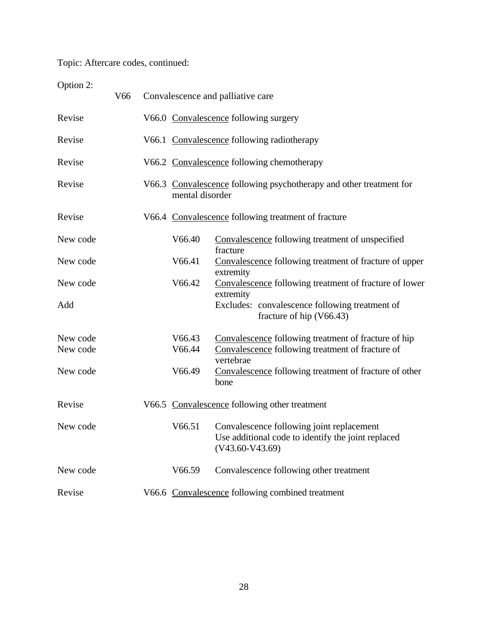Topic: Aftercare codes, continued:

Option 2:

|          | V <sub>66</sub> |                 | Convalescence and palliative care                                                                                    |
|----------|-----------------|-----------------|----------------------------------------------------------------------------------------------------------------------|
| Revise   |                 |                 | V66.0 Convalescence following surgery                                                                                |
| Revise   |                 |                 | V66.1 Convalescence following radiotherapy                                                                           |
| Revise   |                 |                 | V66.2 Convalescence following chemotherapy                                                                           |
| Revise   |                 | mental disorder | V66.3 Convalescence following psychotherapy and other treatment for                                                  |
| Revise   |                 |                 | V66.4 Convalescence following treatment of fracture                                                                  |
| New code |                 | V66.40          | Convalescence following treatment of unspecified<br>fracture                                                         |
| New code |                 | V66.41          | Convalescence following treatment of fracture of upper<br>extremity                                                  |
| New code |                 | V66.42          | Convalescence following treatment of fracture of lower<br>extremity                                                  |
| Add      |                 |                 | Excludes: convalescence following treatment of<br>fracture of hip $(V66.43)$                                         |
| New code |                 | V66.43          | Convalescence following treatment of fracture of hip                                                                 |
| New code |                 | V66.44          | Convalescence following treatment of fracture of<br>vertebrae                                                        |
| New code |                 | V66.49          | Convalescence following treatment of fracture of other<br>bone                                                       |
| Revise   |                 |                 | V66.5 Convalescence following other treatment                                                                        |
| New code |                 | V66.51          | Convalescence following joint replacement<br>Use additional code to identify the joint replaced<br>$(V43.60-V43.69)$ |
| New code |                 | V66.59          | Convalescence following other treatment                                                                              |
| Revise   |                 |                 | V66.6 Convalescence following combined treatment                                                                     |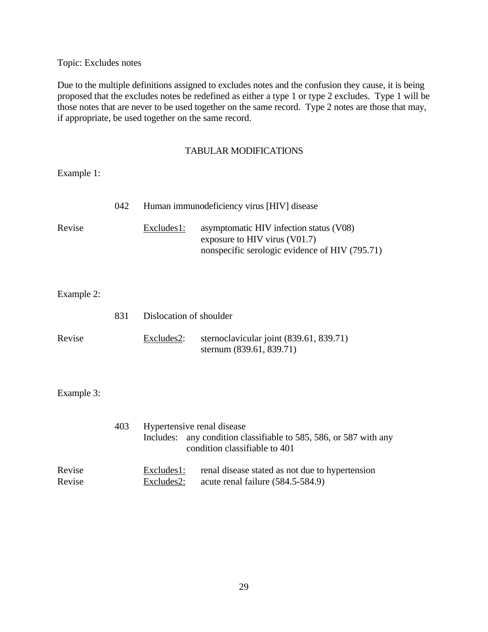Topic: Excludes notes

Due to the multiple definitions assigned to excludes notes and the confusion they cause, it is being proposed that the excludes notes be redefined as either a type 1 or type 2 excludes. Type 1 will be those notes that are never to be used together on the same record. Type 2 notes are those that may, if appropriate, be used together on the same record.

## TABULAR MODIFICATIONS

Example 1:

|                  | 042 |                                         | Human immunodeficiency virus [HIV] disease                                                                                 |
|------------------|-----|-----------------------------------------|----------------------------------------------------------------------------------------------------------------------------|
| Revise           |     | Excludes1:                              | asymptomatic HIV infection status (V08)<br>exposure to HIV virus (V01.7)<br>nonspecific serologic evidence of HIV (795.71) |
| Example 2:       |     |                                         |                                                                                                                            |
|                  | 831 | Dislocation of shoulder                 |                                                                                                                            |
| Revise           |     | Excludes2:                              | sternoclavicular joint (839.61, 839.71)<br>sternum (839.61, 839.71)                                                        |
| Example 3:       |     |                                         |                                                                                                                            |
|                  | 403 | Hypertensive renal disease<br>Includes: | any condition classifiable to 585, 586, or 587 with any<br>condition classifiable to 401                                   |
| Revise<br>Revise |     | Excludes 1:<br>Excludes2:               | renal disease stated as not due to hypertension<br>acute renal failure (584.5-584.9)                                       |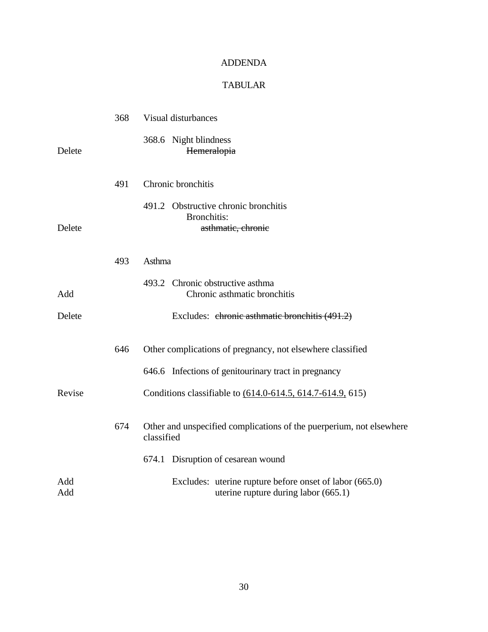## ADDENDA

# TABULAR

|            | 368 | <b>Visual disturbances</b>                                                                                         |
|------------|-----|--------------------------------------------------------------------------------------------------------------------|
| Delete     |     | 368.6 Night blindness<br>Hemeralopia                                                                               |
|            | 491 | Chronic bronchitis                                                                                                 |
| Delete     |     | 491.2 Obstructive chronic bronchitis<br><b>Bronchitis:</b><br>asthmatic, chronic                                   |
|            | 493 | Asthma                                                                                                             |
| Add        |     | 493.2 Chronic obstructive asthma<br>Chronic asthmatic bronchitis                                                   |
| Delete     |     | Excludes: chronic asthmatic bronchitis (491.2)                                                                     |
|            | 646 | Other complications of pregnancy, not elsewhere classified<br>646.6 Infections of genitourinary tract in pregnancy |
| Revise     |     | Conditions classifiable to (614.0-614.5, 614.7-614.9, 615)                                                         |
|            | 674 | Other and unspecified complications of the puerperium, not elsewhere<br>classified                                 |
|            |     | 674.1 Disruption of cesarean wound                                                                                 |
| Add<br>Add |     | Excludes: uterine rupture before onset of labor (665.0)<br>uterine rupture during labor $(665.1)$                  |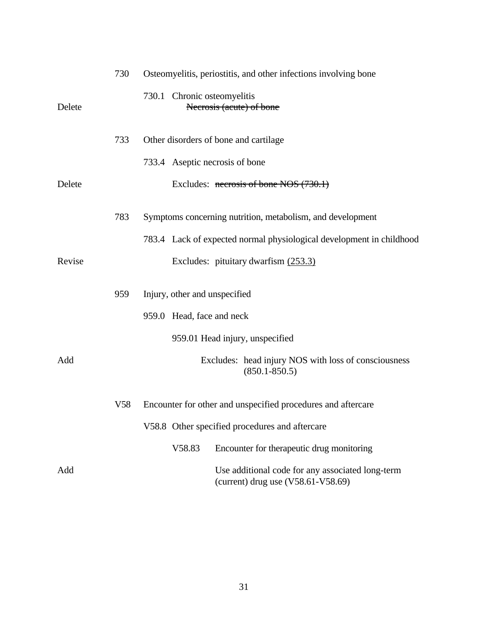|        | 730 | Osteomyelitis, periostitis, and other infections involving bone                          |
|--------|-----|------------------------------------------------------------------------------------------|
| Delete |     | 730.1 Chronic osteomyelitis<br>Necrosis (acute) of bone                                  |
|        | 733 | Other disorders of bone and cartilage                                                    |
|        |     | 733.4 Aseptic necrosis of bone                                                           |
| Delete |     | Excludes: $\frac{1}{2}$ necrosis of bone NOS (730.1)                                     |
|        | 783 | Symptoms concerning nutrition, metabolism, and development                               |
|        |     | 783.4 Lack of expected normal physiological development in childhood                     |
| Revise |     | Excludes: pituitary dwarfism (253.3)                                                     |
|        | 959 | Injury, other and unspecified                                                            |
|        |     | 959.0 Head, face and neck                                                                |
|        |     | 959.01 Head injury, unspecified                                                          |
| Add    |     | Excludes: head injury NOS with loss of consciousness<br>$(850.1 - 850.5)$                |
|        | V58 | Encounter for other and unspecified procedures and aftercare                             |
|        |     | V58.8 Other specified procedures and aftercare                                           |
|        |     | V58.83<br>Encounter for therapeutic drug monitoring                                      |
| Add    |     | Use additional code for any associated long-term<br>(current) drug use $(V58.61-V58.69)$ |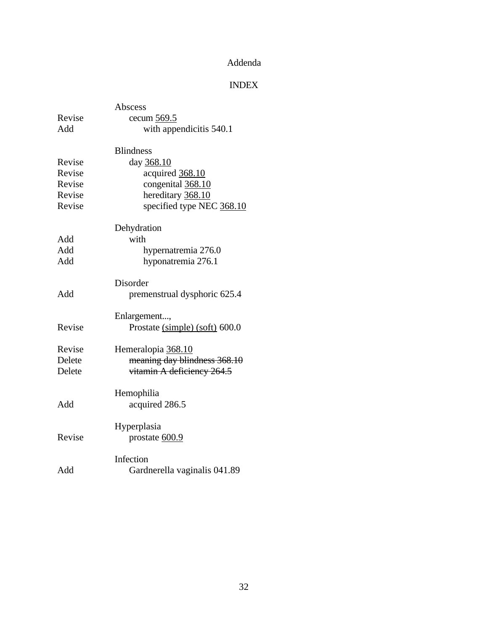# Addenda

# INDEX

|        | Abscess                        |  |  |  |  |  |
|--------|--------------------------------|--|--|--|--|--|
| Revise | cecum 569.5                    |  |  |  |  |  |
| Add    | with appendicitis 540.1        |  |  |  |  |  |
|        | <b>Blindness</b>               |  |  |  |  |  |
| Revise | day 368.10                     |  |  |  |  |  |
| Revise | acquired 368.10                |  |  |  |  |  |
| Revise | congenital 368.10              |  |  |  |  |  |
| Revise | hereditary 368.10              |  |  |  |  |  |
| Revise | specified type NEC 368.10      |  |  |  |  |  |
|        | Dehydration                    |  |  |  |  |  |
| Add    | with                           |  |  |  |  |  |
| Add    | hypernatremia 276.0            |  |  |  |  |  |
| Add    | hyponatremia 276.1             |  |  |  |  |  |
|        | Disorder                       |  |  |  |  |  |
| Add    | premenstrual dysphoric 625.4   |  |  |  |  |  |
|        | Enlargement,                   |  |  |  |  |  |
| Revise | Prostate (simple) (soft) 600.0 |  |  |  |  |  |
| Revise | Hemeralopia 368.10             |  |  |  |  |  |
| Delete | meaning day blindness 368.10   |  |  |  |  |  |
| Delete | vitamin A deficiency 264.5     |  |  |  |  |  |
|        | Hemophilia                     |  |  |  |  |  |
| Add    | acquired 286.5                 |  |  |  |  |  |
|        | Hyperplasia                    |  |  |  |  |  |
| Revise | prostate $600.9$               |  |  |  |  |  |
|        | Infection                      |  |  |  |  |  |
| Add    | Gardnerella vaginalis 041.89   |  |  |  |  |  |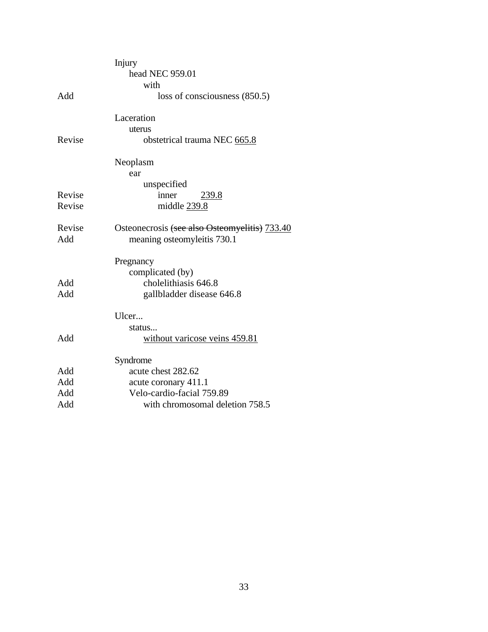|        | Injury                                        |
|--------|-----------------------------------------------|
|        | head NEC 959.01                               |
|        | with                                          |
| Add    | loss of consciousness (850.5)                 |
|        | Laceration                                    |
|        | uterus                                        |
| Revise | obstetrical trauma NEC 665.8                  |
|        | Neoplasm                                      |
|        | ear                                           |
|        | unspecified                                   |
| Revise | inner<br>239.8                                |
| Revise | middle 239.8                                  |
| Revise | Osteonecrosis (see also Osteomyelitis) 733.40 |
| Add    | meaning osteomyleitis 730.1                   |
|        | Pregnancy                                     |
|        | complicated (by)                              |
| Add    | cholelithiasis 646.8                          |
| Add    | gallbladder disease 646.8                     |
|        | Ulcer                                         |
|        | status                                        |
| Add    | without varicose veins 459.81                 |
|        | Syndrome                                      |
| Add    | acute chest 282.62                            |
| Add    | acute coronary 411.1                          |
| Add    | Velo-cardio-facial 759.89                     |
| Add    | with chromosomal deletion 758.5               |